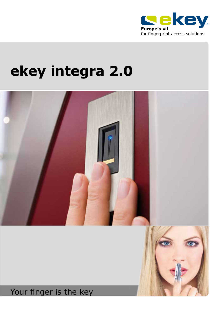

## **ekey integra 2.0**



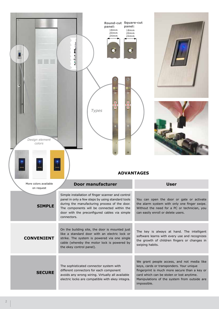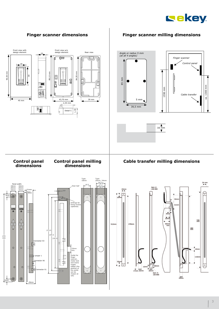